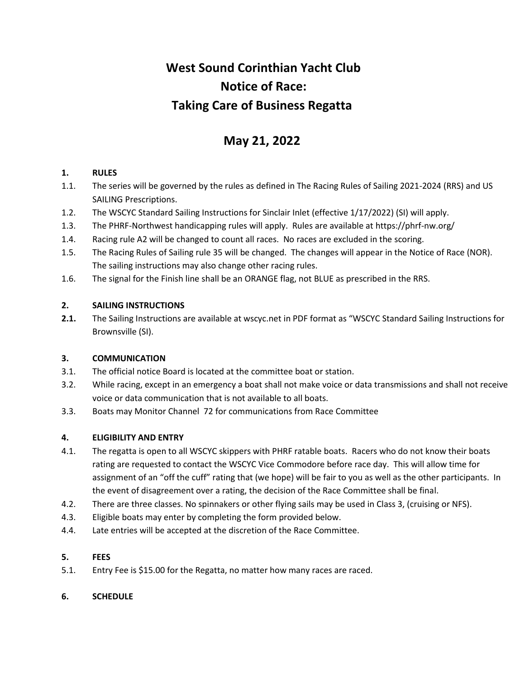# **West Sound Corinthian Yacht Club Notice of Race: Taking Care of Business Regatta**

# **May 21, 2022**

# **1. RULES**

- 1.1. The series will be governed by the rules as defined in The Racing Rules of Sailing 2021-2024 (RRS) and US SAILING Prescriptions.
- 1.2. The WSCYC Standard Sailing Instructions for Sinclair Inlet (effective 1/17/2022) (SI) will apply.
- 1.3. The PHRF-Northwest handicapping rules will apply. Rules are available at https://phrf-nw.org/
- 1.4. Racing rule A2 will be changed to count all races. No races are excluded in the scoring.
- 1.5. The Racing Rules of Sailing rule 35 will be changed. The changes will appear in the Notice of Race (NOR). The sailing instructions may also change other racing rules.
- 1.6. The signal for the Finish line shall be an ORANGE flag, not BLUE as prescribed in the RRS.

# **2. SAILING INSTRUCTIONS**

**2.1.** The Sailing Instructions are available at wscyc.net in PDF format as "WSCYC Standard Sailing Instructions for Brownsville (SI).

# **3. COMMUNICATION**

- 3.1. The official notice Board is located at the committee boat or station.
- 3.2. While racing, except in an emergency a boat shall not make voice or data transmissions and shall not receive voice or data communication that is not available to all boats.
- 3.3. Boats may Monitor Channel 72 for communications from Race Committee

# **4. ELIGIBILITY AND ENTRY**

- 4.1. The regatta is open to all WSCYC skippers with PHRF ratable boats. Racers who do not know their boats rating are requested to contact the WSCYC Vice Commodore before race day. This will allow time for assignment of an "off the cuff" rating that (we hope) will be fair to you as well as the other participants. In the event of disagreement over a rating, the decision of the Race Committee shall be final.
- 4.2. There are three classes. No spinnakers or other flying sails may be used in Class 3, (cruising or NFS).
- 4.3. Eligible boats may enter by completing the form provided below.
- 4.4. Late entries will be accepted at the discretion of the Race Committee.

# **5. FEES**

5.1. Entry Fee is \$15.00 for the Regatta, no matter how many races are raced.

# **6. SCHEDULE**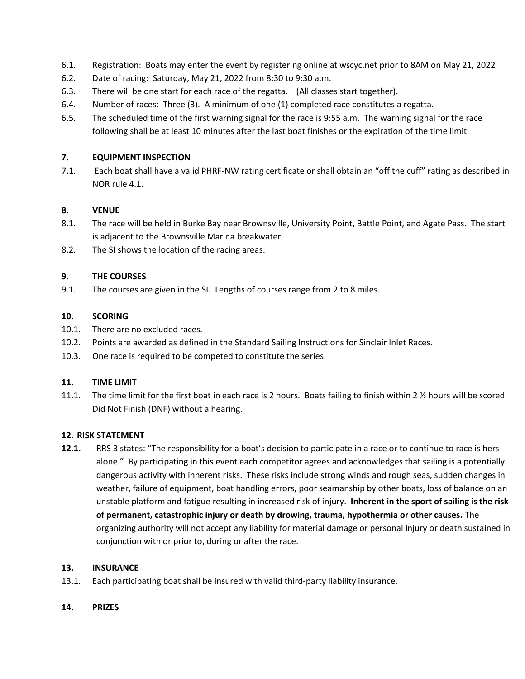- 6.1. Registration: Boats may enter the event by registering online at wscyc.net prior to 8AM on May 21, 2022
- 6.2. Date of racing: Saturday, May 21, 2022 from 8:30 to 9:30 a.m.
- 6.3. There will be one start for each race of the regatta. (All classes start together).
- 6.4. Number of races: Three (3). A minimum of one (1) completed race constitutes a regatta.
- 6.5. The scheduled time of the first warning signal for the race is 9:55 a.m. The warning signal for the race following shall be at least 10 minutes after the last boat finishes or the expiration of the time limit.

#### **7. EQUIPMENT INSPECTION**

7.1. Each boat shall have a valid PHRF-NW rating certificate or shall obtain an "off the cuff" rating as described in NOR rule 4.1.

#### **8. VENUE**

- 8.1. The race will be held in Burke Bay near Brownsville, University Point, Battle Point, and Agate Pass. The start is adjacent to the Brownsville Marina breakwater.
- 8.2. The SI shows the location of the racing areas.

#### **9. THE COURSES**

9.1. The courses are given in the SI. Lengths of courses range from 2 to 8 miles.

#### **10. SCORING**

- 10.1. There are no excluded races.
- 10.2. Points are awarded as defined in the Standard Sailing Instructions for Sinclair Inlet Races.
- 10.3. One race is required to be competed to constitute the series.

#### **11. TIME LIMIT**

11.1. The time limit for the first boat in each race is 2 hours. Boats failing to finish within 2 % hours will be scored Did Not Finish (DNF) without a hearing.

#### **12. RISK STATEMENT**

**12.1.** RRS 3 states: "The responsibility for a boat's decision to participate in a race or to continue to race is hers alone." By participating in this event each competitor agrees and acknowledges that sailing is a potentially dangerous activity with inherent risks. These risks include strong winds and rough seas, sudden changes in weather, failure of equipment, boat handling errors, poor seamanship by other boats, loss of balance on an unstable platform and fatigue resulting in increased risk of injury. **Inherent in the sport of sailing is the risk of permanent, catastrophic injury or death by drowing, trauma, hypothermia or other causes.** The organizing authority will not accept any liability for material damage or personal injury or death sustained in conjunction with or prior to, during or after the race.

#### **13. INSURANCE**

13.1. Each participating boat shall be insured with valid third-party liability insurance.

#### **14. PRIZES**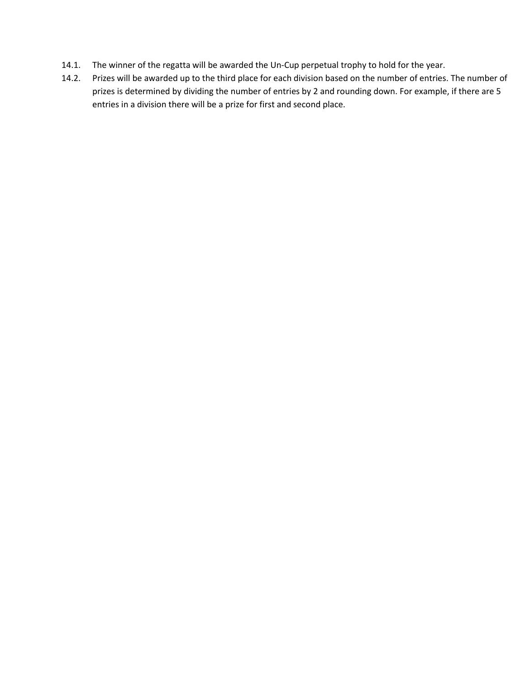- 14.1. The winner of the regatta will be awarded the Un‐Cup perpetual trophy to hold for the year.
- 14.2. Prizes will be awarded up to the third place for each division based on the number of entries. The number of prizes is determined by dividing the number of entries by 2 and rounding down. For example, if there are 5 entries in a division there will be a prize for first and second place.